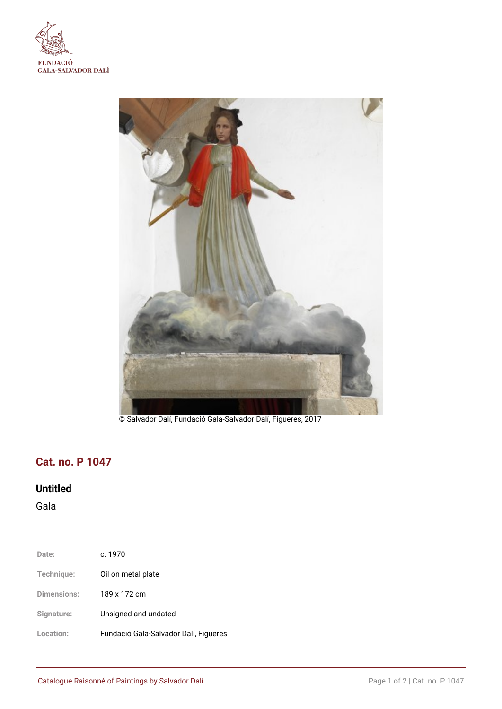



© Salvador Dalí, Fundació Gala-Salvador Dalí, Figueres, 2017

# **Cat. no. P 1047**

## **Untitled**

Gala

| Date:       | c. 1970                               |
|-------------|---------------------------------------|
| Technique:  | Oil on metal plate                    |
| Dimensions: | 189 x 172 cm                          |
| Signature:  | Unsigned and undated                  |
| Location:   | Fundació Gala-Salvador Dalí, Figueres |